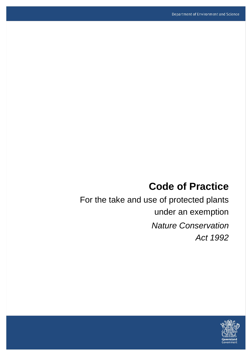# **Code of Practice**

For the take and use of protected plants under an exemption *Nature Conservation Act 1992*

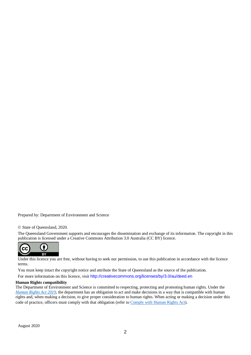Prepared by: Department of Environment and Science

#### © State of Queensland, 2020.

The Queensland Government supports and encourages the dissemination and exchange of its information. The copyright in this publication is licensed under a Creative Commons Attribution 3.0 Australia (CC BY) licence.



Under this licence you are free, without having to seek our permission, to use this publication in accordance with the licence terms.

You must keep intact the copyright notice and attribute the State of Queensland as the source of the publication. For more information on this licence, visit <http://creativecommons.org/licenses/by/3.0/au/deed.en>

#### **Human Rights compatibility**

The Department of Environment and Science is committed to respecting, protecting and promoting human rights. Under the *[Human Rights Act 2019](https://www.legislation.qld.gov.au/view/html/inforce/current/act-2019-005)*, the department has an obligation to act and make decisions in a way that is compatible with human rights and, when making a decision, to give proper consideration to human rights. When acting or making a decision under this code of practice, officers must comply with that obligation (refer t[o Comply with Human Rights Act\)](https://www.forgov.qld.gov.au/humanrights).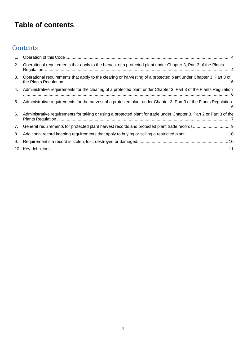# **Table of contents**

### **Contents**

| 1. |                                                                                                                      |
|----|----------------------------------------------------------------------------------------------------------------------|
| 2. | Operational requirements that apply to the harvest of a protected plant under Chapter 3, Part 3 of the Plants        |
| 3. | Operational requirements that apply to the clearing or harvesting of a protected plant under Chapter 3, Part 3 of    |
| 4. | Administrative requirements for the clearing of a protected plant under Chapter 3, Part 3 of the Plants Regulation   |
| 5. | Administrative requirements for the harvest of a protected plant under Chapter 3, Part 3 of the Plants Regulation    |
| 6. | Administrative requirements for taking or using a protected plant for trade under Chapter 3, Part 2 or Part 3 of the |
| 7. |                                                                                                                      |
| 8. |                                                                                                                      |
| 9. |                                                                                                                      |
|    |                                                                                                                      |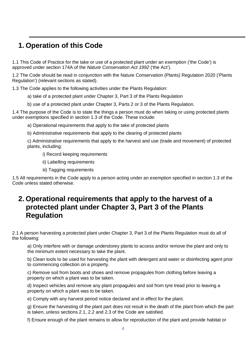### <span id="page-3-0"></span>**1. Operation of this Code**

1.1 This Code of Practice for the take or use of a protected plant under an exemption ('the Code') is approved under section 174A of the *Nature Conservation Act 1992* ('the Act').

1.2 The Code should be read in conjunction with the Nature Conservation (Plants) Regulation 2020 ('Plants Regulation') (relevant sections as stated).

1.3 The Code applies to the following activities under the Plants Regulation:

a) take of a protected plant under Chapter 3, Part 3 of the Plants Regulation

b) use of a protected plant under Chapter 3, Parts 2 or 3 of the Plants Regulation.

1.4 The purpose of the Code is to state the things a person must do when taking or using protected plants under exemptions specified in section 1.3 of the Code. These include:

a) Operational requirements that apply to the take of protected plants

b) Administrative requirements that apply to the clearing of protected plants

c) Administrative requirements that apply to the harvest and use (trade and movement) of protected plants, including:

i) Record keeping requirements

ii) Labelling requirements

iii) Tagging requirements

1.5 All requirements in the Code apply to a person acting under an exemption specified in section 1.3 of the Code unless stated otherwise.

### <span id="page-3-1"></span>**2. Operational requirements that apply to the harvest of a protected plant under Chapter 3, Part 3 of the Plants Regulation**

2.1 A person harvesting a protected plant under Chapter 3, Part 3 of the Plants Regulation must do all of the following:

a) Only interfere with or damage understorey plants to access and/or remove the plant and only to the minimum extent necessary to take the plant.

b) Clean tools to be used for harvesting the plant with detergent and water or disinfecting agent prior to commencing collection on a property.

c) Remove soil from boots and shoes and remove propagules from clothing before leaving a property on which a plant was to be taken.

d) Inspect vehicles and remove any plant propagules and soil from tyre tread prior to leaving a property on which a plant was to be taken.

e) Comply with any harvest period notice declared and in effect for the plant.

g) Ensure the harvesting of the plant part does not result in the death of the plant from which the part is taken, unless sections 2.1, 2.2 and 2.3 of the Code are satisfied.

f) Ensure enough of the plant remains to allow for reproduction of the plant and provide habitat or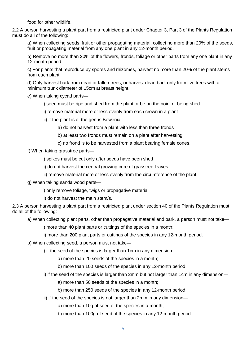food for other wildlife.

2.2 A person harvesting a plant part from a restricted plant under Chapter 3, Part 3 of the Plants Regulation must do all of the following:

a) When collecting seeds, fruit or other propagating material, collect no more than 20% of the seeds, fruit or propagating material from any one plant in any 12-month period.

b) Remove no more than 20% of the flowers, fronds, foliage or other parts from any one plant in any 12-month period.

c) For plants that reproduce by spores and rhizomes, harvest no more than 20% of the plant stems from each plant.

d) Only harvest bark from dead or fallen trees, or harvest dead bark only from live trees with a minimum trunk diameter of 15cm at breast height.

- e) When taking cycad parts
	- i) seed must be ripe and shed from the plant or be on the point of being shed
	- ii) remove material more or less evenly from each crown in a plant
	- iii) if the plant is of the genus Bowenia
		- a) do not harvest from a plant with less than three fronds
		- b) at least two fronds must remain on a plant after harvesting
		- c) no frond is to be harvested from a plant bearing female cones.
- f) When taking grasstree parts
	- i) spikes must be cut only after seeds have been shed
	- ii) do not harvest the central growing core of grasstree leaves
	- iii) remove material more or less evenly from the circumference of the plant.
- g) When taking sandalwood parts
	- i) only remove foliage, twigs or propagative material
	- ii) do not harvest the main stem/s.

2.3 A person harvesting a plant part from a restricted plant under section 40 of the Plants Regulation must do all of the following:

- a) When collecting plant parts, other than propagative material and bark, a person must not take
	- i) more than 40 plant parts or cuttings of the species in a month;
	- ii) more than 200 plant parts or cuttings of the species in any 12-month period.
- b) When collecting seed, a person must not take
	- i) if the seed of the species is larger than 1cm in any dimension
		- a) more than 20 seeds of the species in a month;
		- b) more than 100 seeds of the species in any 12-month period;
	- ii) if the seed of the species is larger than 2mm but not larger than 1cm in any dimension
		- a) more than 50 seeds of the species in a month;
		- b) more than 250 seeds of the species in any 12-month period;
	- iii) if the seed of the species is not larger than 2mm in any dimension
		- a) more than 10g of seed of the species in a month;
		- b) more than 100g of seed of the species in any 12-month period.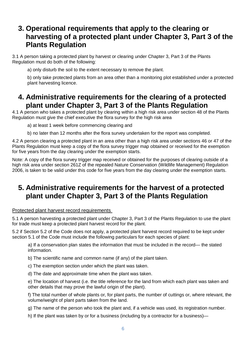### <span id="page-5-0"></span>**3. Operational requirements that apply to the clearing or harvesting of a protected plant under Chapter 3, Part 3 of the Plants Regulation**

3.1 A person taking a protected plant by harvest or clearing under Chapter 3, Part 3 of the Plants Regulation must do both of the following:

a) only disturb the soil to the extent necessary to remove the plant.

b) only take protected plants from an area other than a monitoring plot established under a protected plant harvesting licence.

### <span id="page-5-1"></span>**4. Administrative requirements for the clearing of a protected plant under Chapter 3, Part 3 of the Plants Regulation**

4.1 A person who takes a protected plant by clearing within a high risk area under section 48 of the Plants Regulation must give the chief executive the flora survey for the high risk area

a) at least 1 week before commencing clearing and

b) no later than 12 months after the flora survey undertaken for the report was completed.

4.2 A person clearing a protected plant in an area other than a high risk area under sections 46 or 47 of the Plants Regulation must keep a copy of the flora survey trigger map obtained or received for the exemption for five years from the day clearing under the exemption starts.

Note: A copy of the flora survey trigger map received or obtained for the purposes of clearing outside of a high risk area under section 261Z of the repealed Nature Conservation (Wildlife Management) Regulation 2006, is taken to be valid under this code for five years from the day clearing under the exemption starts.

### <span id="page-5-2"></span>**5. Administrative requirements for the harvest of a protected plant under Chapter 3, Part 3 of the Plants Regulation**

### Protected plant harvest record requirements

5.1 A person harvesting a protected plant under Chapter 3, Part 3 of the Plants Regulation to use the plant for trade must keep a protected plant harvest record for the plant.

5.2 if Section 5.2 of the Code does not apply, a protected plant harvest record required to be kept under section 5.1 of the Code must include the following particulars for each species of plant:

a) If a conservation plan states the information that must be included in the record— the stated information.

b) The scientific name and common name (if any) of the plant taken.

c) The exemption section under which the plant was taken.

d) The date and approximate time when the plant was taken.

e) The location of harvest (i.e. the title reference for the land from which each plant was taken and other details that may prove the lawful origin of the plant).

f) The total number of whole plants or, for plant parts, the number of cuttings or, where relevant, the volume/weight of plant parts taken from the land.

g) The name of the person who took the plant and, if a vehicle was used, its registration number.

h) If the plant was taken by or for a business (including by a contractor for a business)—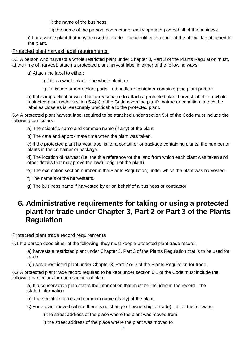i) the name of the business

ii) the name of the person, contractor or entity operating on behalf of the business.

i) For a whole plant that may be used for trade—the identification code of the official tag attached to the plant.

### Protected plant harvest label requirements

5.3 A person who harvests a whole restricted plant under Chapter 3, Part 3 of the Plants Regulation must, at the time of harvest, attach a protected plant harvest label in either of the following ways

a) Attach the label to either:

i) if it is a whole plant—the whole plant; or

ii) if it is one or more plant parts—a bundle or container containing the plant part; or

b) If it is impractical or would be unreasonable to attach a protected plant harvest label to a whole restricted plant under section 5.4(a) of the Code given the plant's nature or condition, attach the label as close as is reasonably practicable to the protected plant.

5.4 A protected plant harvest label required to be attached under section 5.4 of the Code must include the following particulars:

a) The scientific name and common name (if any) of the plant.

b) The date and approximate time when the plant was taken.

c) If the protected plant harvest label is for a container or package containing plants, the number of plants in the container or package.

d) The location of harvest (i.e. the title reference for the land from which each plant was taken and other details that may prove the lawful origin of the plant).

e) The exemption section number in the Plants Regulation, under which the plant was harvested.

- f) The name/s of the harvester/s.
- g) The business name if harvested by or on behalf of a business or contractor.

### <span id="page-6-0"></span>**6. Administrative requirements for taking or using a protected plant for trade under Chapter 3, Part 2 or Part 3 of the Plants Regulation**

### Protected plant trade record requirements

6.1 If a person does either of the following, they must keep a protected plant trade record:

a) harvests a restricted plant under Chapter 3, Part 3 of the Plants Regulation that is to be used for trade

b) uses a restricted plant under Chapter 3, Part 2 or 3 of the Plants Regulation for trade.

6.2 A protected plant trade record required to be kept under section 6.1 of the Code must include the following particulars for each species of plant:

a) If a conservation plan states the information that must be included in the record—the stated information.

b) The scientific name and common name (if any) of the plant.

- c) For a plant moved (where there is no change of ownership or trade)—all of the following:
	- i) the street address of the place where the plant was moved from
	- ii) the street address of the place where the plant was moved to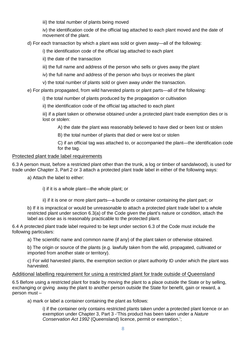iii) the total number of plants being moved

iv) the identification code of the official tag attached to each plant moved and the date of movement of the plant.

d) For each transaction by which a plant was sold or given away—all of the following:

i) the identification code of the official tag attached to each plant

ii) the date of the transaction

iii) the full name and address of the person who sells or gives away the plant

iv) the full name and address of the person who buys or receives the plant

v) the total number of plants sold or given away under the transaction.

e) For plants propagated, from wild harvested plants or plant parts—all of the following:

i) the total number of plants produced by the propagation or cultivation

ii) the identification code of the official tag attached to each plant

iii) if a plant taken or otherwise obtained under a protected plant trade exemption dies or is lost or stolen:

A) the date the plant was reasonably believed to have died or been lost or stolen

B) the total number of plants that died or were lost or stolen

C) if an official tag was attached to, or accompanied the plant—the identification code for the tag.

#### Protected plant trade label requirements

6.3 A person must, before a restricted plant other than the trunk, a log or timber of sandalwood), is used for trade under Chapter 3, Part 2 or 3 attach a protected plant trade label in either of the following ways:

a) Attach the label to either:

i) if it is a whole plant—the whole plant; or

ii) if it is one or more plant parts—a bundle or container containing the plant part; or

b) If it is impractical or would be unreasonable to attach a protected plant trade label to a whole restricted plant under section 6.3(a) of the Code given the plant's nature or condition, attach the label as close as is reasonably practicable to the protected plant.

6.4 A protected plant trade label required to be kept under section 6.3 of the Code must include the following particulars:

a) The scientific name and common name (if any) of the plant taken or otherwise obtained.

b) The origin or source of the plants (e.g. lawfully taken from the wild, propagated, cultivated or imported from another state or territory).

c) For wild harvested plants, the exemption section or plant authority ID under which the plant was harvested.

#### Additional labelling requirement for using a restricted plant for trade outside of Queensland

6.5 Before using a restricted plant for trade by moving the plant to a place outside the State or by selling, exchanging or giving away the plant to another person outside the State for benefit, gain or reward, a person must –

a) mark or label a container containing the plant as follows:

i) if the container only contains restricted plants taken under a protected plant licence or an exemption under Chapter 3, Part 3 -'This product has been taken under a *Nature Conservation Act 1992* (Queensland) licence, permit or exemption.';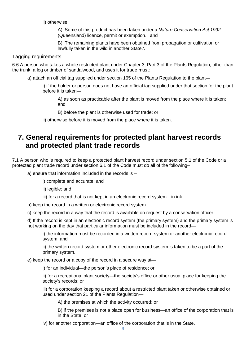ii) otherwise:

A) 'Some of this product has been taken under a *Nature Conservation Act 1992* (Queensland) licence, permit or exemption.'; and

B) 'The remaining plants have been obtained from propagation or cultivation or lawfully taken in the wild in another State.'.

#### Tagging requirements

6.6 A person who takes a whole restricted plant under Chapter 3, Part 3 of the Plants Regulation, other than the trunk, a log or timber of sandalwood, and uses it for trade must:

a) attach an official tag supplied under section 165 of the Plants Regulation to the plant—

i) if the holder or person does not have an official tag supplied under that section for the plant before it is taken—

A) as soon as practicable after the plant is moved from the place where it is taken; and

B) before the plant is otherwise used for trade; or

ii) otherwise before it is moved from the place where it is taken.

### <span id="page-8-0"></span>**7. General requirements for protected plant harvest records and protected plant trade records**

7.1 A person who is required to keep a protected plant harvest record under section 5.1 of the Code or a protected plant trade record under section 6.1 of the Code must do all of the following–

- a) ensure that information included in the records is
	- i) complete and accurate; and
	- ii) legible; and
	- iii) for a record that is not kept in an electronic record system—in ink.
- b) keep the record in a written or electronic record system
- c) keep the record in a way that the record is available on request by a conservation officer

d) If the record is kept in an electronic record system (the primary system) and the primary system is not working on the day that particular information must be included in the record—

i) the information must be recorded in a written record system or another electronic record system; and

ii) the written record system or other electronic record system is taken to be a part of the primary system.

e) keep the record or a copy of the record in a secure way at—

i) for an individual—the person's place of residence; or

ii) for a recreational plant society—the society's office or other usual place for keeping the society's records; or

iii) for a corporation keeping a record about a restricted plant taken or otherwise obtained or used under section 21 of the Plants Regulation—

A) the premises at which the activity occurred; or

B) if the premises is not a place open for business—an office of the corporation that is in the State; or

iv) for another corporation—an office of the corporation that is in the State.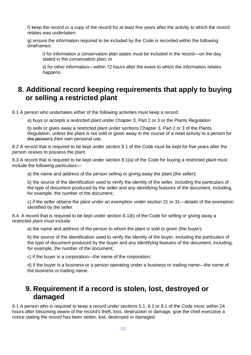f) keep the record or a copy of the record for at least five years after the activity to which the record relates was undertaken.

g) ensure the information required to be included by the Code is recorded within the following timeframes:

i) for information a conservation plan states must be included in the record—on the day stated in the conservation plan; or

ii) for other information—within 72 hours after the event to which the information relates happens.

### <span id="page-9-0"></span>**8. Additional record keeping requirements that apply to buying or selling a restricted plant**

8.1 A person who undertakes either of the following activities must keep a record:

a) buys or accepts a restricted plant under Chapter 3, Part 2 or 3 or the Plants Regulation

b) sells or gives away a restricted plant under sections Chapter 3, Part 2 or 3 of the Plants Regulation, unless the plant is not sold or given away in the course of a retail activity to a person for the person's their own personal use.

8.2 A record that is required to be kept under section 8.1 of the Code must be kept for five years after the person ceases to possess the plant.

8.3 A record that is required to be kept under section 8.1(a) of the Code for buying a restricted plant must include the following particulars—

a) the name and address of the person selling or giving away the plant (the seller);

b) the source of the identification used to verify the identity of the seller, including the particulars of the type of document produced by the seller and any identifying features of the document, including, for example, the number of the document;

c) if the seller obtains the plant under an exemption under section 21 or 31—details of the exemption identified by the seller.

8.4 A record that is required to be kept under section 8.1(b) of the Code for selling or giving away a restricted plant must include:

a) the name and address of the person to whom the plant is sold or given (the buyer);

b) the source of the identification used to verify the identity of the buyer, including the particulars of the type of document produced by the buyer and any identifying features of the document, including, for example, the number of the document;

c) if the buyer is a corporation—the name of the corporation;

d) if the buyer is a business or a person operating under a business or trading name—the name of the business or trading name.

### <span id="page-9-1"></span>**9. Requirement if a record is stolen, lost, destroyed or damaged**

9.1 A person who is required to keep a record under sections 5.1, 6.1 or 8.1 of the Code must, within 24 hours after becoming aware of the record's theft, loss, destruction or damage, give the chief executive a notice stating the record has been stolen, lost, destroyed or damaged.